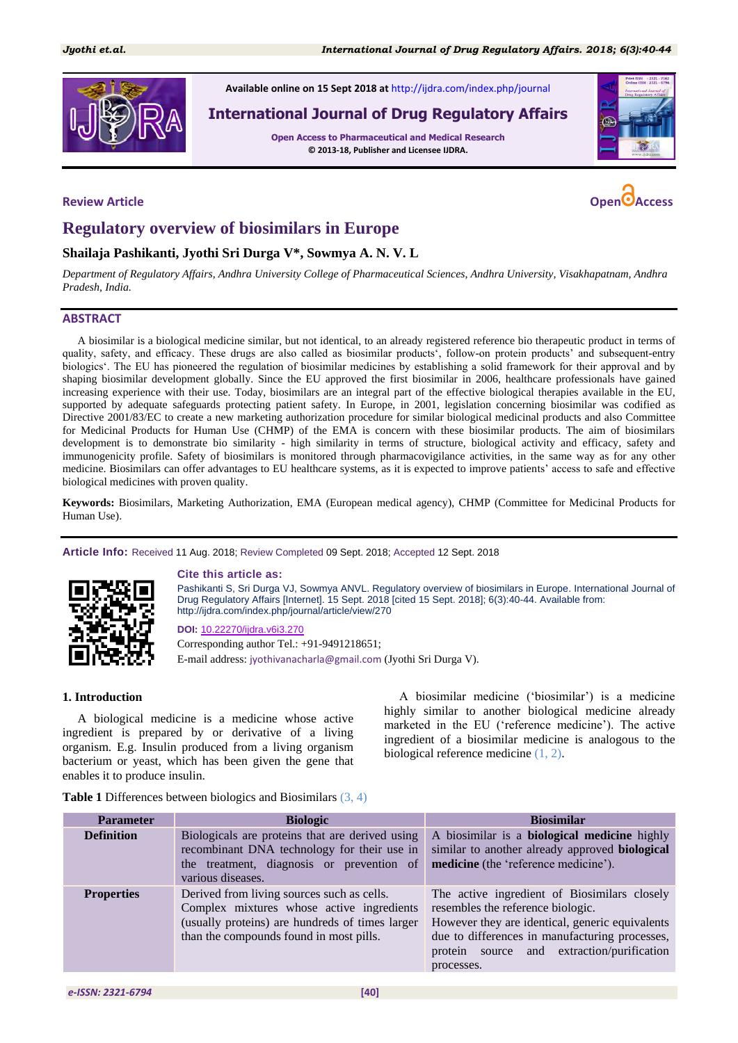

**Available online on 15 Sept 2018 at** <http://ijdra.com/index.php/journal>

**International Journal of Drug Regulatory Affairs**

**Open Access to Pharmaceutical and Medical Research © 2013-18, Publisher and Licensee IJDRA.**



# **Regulatory overview of biosimilars in Europe**

# **Shailaja Pashikanti, Jyothi Sri Durga V\*, Sowmya A. N. V. L**

*Department of Regulatory Affairs, Andhra University College of Pharmaceutical Sciences, Andhra University, Visakhapatnam, Andhra Pradesh, India.*

#### **ABSTRACT**

A biosimilar is a biological medicine similar, but not identical, to an already registered reference bio therapeutic product in terms of quality, safety, and efficacy. These drugs are also called as biosimilar products", follow-on protein products" and subsequent-entry biologics". The EU has pioneered the regulation of biosimilar medicines by establishing a solid framework for their approval and by shaping biosimilar development globally. Since the EU approved the first biosimilar in 2006, healthcare professionals have gained increasing experience with their use. Today, biosimilars are an integral part of the effective biological therapies available in the EU, supported by adequate safeguards protecting patient safety. In Europe, in 2001, legislation concerning biosimilar was codified as Directive 2001/83/EC to create a new marketing authorization procedure for similar biological medicinal products and also Committee for Medicinal Products for Human Use (CHMP) of the EMA is concern with these biosimilar products. The aim of biosimilars development is to demonstrate bio similarity - high similarity in terms of structure, biological activity and efficacy, safety and immunogenicity profile. Safety of biosimilars is monitored through pharmacovigilance activities, in the same way as for any other medicine. Biosimilars can offer advantages to EU healthcare systems, as it is expected to improve patients" access to safe and effective biological medicines with proven quality.

**Keywords:** Biosimilars, Marketing Authorization, EMA (European medical agency), CHMP (Committee for Medicinal Products for Human Use).

**Article Info:** Received 11 Aug. 2018; Review Completed 09 Sept. 2018; Accepted 12 Sept. 2018



#### **Cite this article as:**

Pashikanti S, Sri Durga VJ, Sowmya ANVL. Regulatory overview of biosimilars in Europe. International Journal of Drug Regulatory Affairs [Internet]. 15 Sept. 2018 [cited 15 Sept. 2018]; 6(3):40-44. Available from: http://ijdra.com/index.php/journal/article/view/270

**DOI:** [10.22270/ijdra.v6i3.270](https://doi.org/10.22270/ijdra.v6i3.270) Corresponding author Tel.: +91-9491218651; E-mail address: jyothivanacharla@gmail.com (Jyothi Sri Durga V).

### **1. Introduction**

A biological medicine is a medicine whose active ingredient is prepared by or derivative of a living organism. E.g. Insulin produced from a living organism bacterium or yeast, which has been given the gene that enables it to produce insulin.

A biosimilar medicine ("biosimilar") is a medicine highly similar to another biological medicine already marketed in the EU ('reference medicine'). The active ingredient of a biosimilar medicine is analogous to the biological reference medicine [\(1,](#page-4-0) [2\)](#page-4-1).

**Table 1** Differences between biologics and Biosimilars [\(3,](#page-4-2) [4\)](#page-4-3)

| <b>Parameter</b>  | <b>Biologic</b>                                                                                                                                                                       | <b>Biosimilar</b>                                                                                                                                                                                                                                  |
|-------------------|---------------------------------------------------------------------------------------------------------------------------------------------------------------------------------------|----------------------------------------------------------------------------------------------------------------------------------------------------------------------------------------------------------------------------------------------------|
| <b>Definition</b> | Biologicals are proteins that are derived using<br>recombinant DNA technology for their use in<br>the treatment, diagnosis or prevention of<br>various diseases.                      | A biosimilar is a <b>biological medicine</b> highly<br>similar to another already approved biological<br>medicine (the 'reference medicine').                                                                                                      |
| <b>Properties</b> | Derived from living sources such as cells.<br>Complex mixtures whose active ingredients<br>(usually proteins) are hundreds of times larger<br>than the compounds found in most pills. | The active ingredient of Biosimilars closely<br>resembles the reference biologic.<br>However they are identical, generic equivalents<br>due to differences in manufacturing processes,<br>protein source and extraction/purification<br>processes. |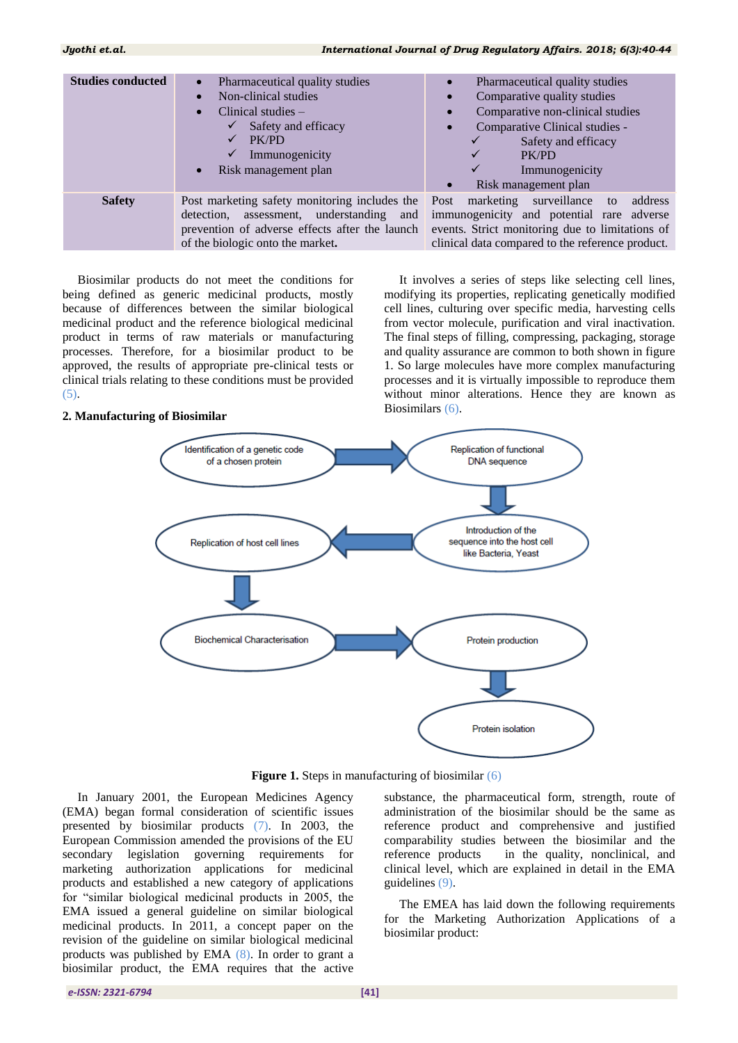## *Jyothi et.al. International Journal of Drug Regulatory Affairs. 2018; 6(3):40-44*

| <b>Studies conducted</b> | Pharmaceutical quality studies<br>$\bullet$<br>Non-clinical studies<br>$\bullet$<br>Clinical studies $-$<br>$\bullet$<br>Safety and efficacy<br>PK/PD<br>Immunogenicity<br>✓<br>Risk management plan<br>$\bullet$ | Pharmaceutical quality studies<br>$\bullet$<br>Comparative quality studies<br>$\bullet$<br>Comparative non-clinical studies<br>$\bullet$<br>Comparative Clinical studies -<br>Safety and efficacy<br>PK/PD<br>Immunogenicity<br>Risk management plan |
|--------------------------|-------------------------------------------------------------------------------------------------------------------------------------------------------------------------------------------------------------------|------------------------------------------------------------------------------------------------------------------------------------------------------------------------------------------------------------------------------------------------------|
| <b>Safety</b>            | Post marketing safety monitoring includes the Post marketing surveillance<br>assessment, understanding and<br>detection,<br>of the biologic onto the market.                                                      | address<br>to<br>immunogenicity and potential rare adverse<br>prevention of adverse effects after the launch events. Strict monitoring due to limitations of<br>clinical data compared to the reference product.                                     |

Biosimilar products do not meet the conditions for being defined as generic medicinal products, mostly because of differences between the similar biological medicinal product and the reference biological medicinal product in terms of raw materials or manufacturing processes. Therefore, for a biosimilar product to be approved, the results of appropriate pre-clinical tests or clinical trials relating to these conditions must be provided [\(5\)](#page-4-4).

### **2. Manufacturing of Biosimilar**

It involves a series of steps like selecting cell lines, modifying its properties, replicating genetically modified cell lines, culturing over specific media, harvesting cells from vector molecule, purification and viral inactivation. The final steps of filling, compressing, packaging, storage and quality assurance are common to both shown in figure 1. So large molecules have more complex manufacturing processes and it is virtually impossible to reproduce them without minor alterations. Hence they are known as Biosimilars [\(6\)](#page-4-5).



**Figure 1.** Steps in manufacturing of biosimilar [\(6\)](#page-4-5)

In January 2001, the European Medicines Agency (EMA) began formal consideration of scientific issues presented by biosimilar products [\(7\)](#page-4-6). In 2003, the European Commission amended the provisions of the EU secondary legislation governing requirements for marketing authorization applications for medicinal products and established a new category of applications for "similar biological medicinal products in 2005, the EMA issued a general guideline on similar biological medicinal products. In 2011, a concept paper on the revision of the guideline on similar biological medicinal products was published by EMA [\(8\)](#page-4-7). In order to grant a biosimilar product, the EMA requires that the active

substance, the pharmaceutical form, strength, route of administration of the biosimilar should be the same as reference product and comprehensive and justified comparability studies between the biosimilar and the reference products in the quality, nonclinical, and clinical level, which are explained in detail in the EMA guidelines [\(9\)](#page-4-8).

The EMEA has laid down the following requirements for the Marketing Authorization Applications of a biosimilar product: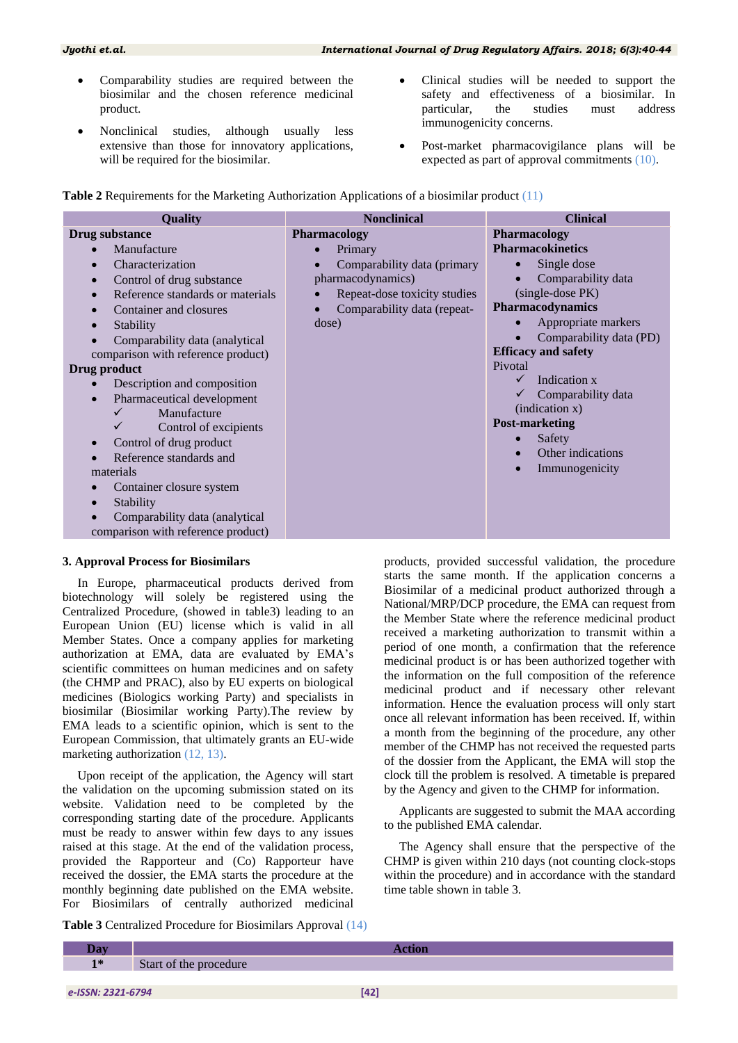- Comparability studies are required between the biosimilar and the chosen reference medicinal product.
- Nonclinical studies, although usually less extensive than those for innovatory applications, will be required for the biosimilar.
- Clinical studies will be needed to support the safety and effectiveness of a biosimilar. In particular, the studies must address immunogenicity concerns.
- Post-market pharmacovigilance plans will be expected as part of approval commitments [\(10\)](#page-4-9).

| <b>Quality</b>                     | <b>Nonclinical</b>           | <b>Clinical</b>            |
|------------------------------------|------------------------------|----------------------------|
| Drug substance                     | <b>Pharmacology</b>          | <b>Pharmacology</b>        |
| Manufacture                        | Primary                      | <b>Pharmacokinetics</b>    |
| Characterization                   | Comparability data (primary  | Single dose<br>$\bullet$   |
| Control of drug substance          | pharmacodynamics)            | Comparability data         |
| Reference standards or materials   | Repeat-dose toxicity studies | (single-dose PK)           |
| Container and closures             | Comparability data (repeat-  | <b>Pharmacodynamics</b>    |
| Stability                          | dose)                        | Appropriate markers        |
| Comparability data (analytical     |                              | Comparability data (PD)    |
| comparison with reference product) |                              | <b>Efficacy and safety</b> |
| Drug product                       |                              | Pivotal                    |
| Description and composition        |                              | Indication x               |
| Pharmaceutical development         |                              | Comparability data         |
| Manufacture                        |                              | (indication x)             |
| Control of excipients              |                              | <b>Post-marketing</b>      |
| Control of drug product            |                              | Safety                     |
| Reference standards and            |                              | Other indications          |
| materials                          |                              | Immunogenicity             |
| Container closure system           |                              |                            |
| Stability                          |                              |                            |
| Comparability data (analytical     |                              |                            |
| comparison with reference product) |                              |                            |

### **Table 2** Requirements for the Marketing Authorization Applications of a biosimilar product [\(11\)](#page-4-10)

# **3. Approval Process for Biosimilars**

In Europe, pharmaceutical products derived from biotechnology will solely be registered using the Centralized Procedure, (showed in table3) leading to an European Union (EU) license which is valid in all Member States. Once a company applies for marketing authorization at EMA, data are evaluated by EMA"s scientific committees on human medicines and on safety (the CHMP and PRAC), also by EU experts on biological medicines (Biologics working Party) and specialists in biosimilar (Biosimilar working Party).The review by EMA leads to a scientific opinion, which is sent to the European Commission, that ultimately grants an EU-wide marketing authorization [\(12,](#page-4-11) [13\)](#page-4-12).

Upon receipt of the application, the Agency will start the validation on the upcoming submission stated on its website. Validation need to be completed by the corresponding starting date of the procedure. Applicants must be ready to answer within few days to any issues raised at this stage. At the end of the validation process, provided the Rapporteur and (Co) Rapporteur have received the dossier, the EMA starts the procedure at the monthly beginning date published on the EMA website. For Biosimilars of centrally authorized medicinal

**Table 3** Centralized Procedure for Biosimilars Approval [\(14\)](#page-4-13)

products, provided successful validation, the procedure starts the same month. If the application concerns a Biosimilar of a medicinal product authorized through a National/MRP/DCP procedure, the EMA can request from the Member State where the reference medicinal product received a marketing authorization to transmit within a period of one month, a confirmation that the reference medicinal product is or has been authorized together with the information on the full composition of the reference medicinal product and if necessary other relevant information. Hence the evaluation process will only start once all relevant information has been received. If, within a month from the beginning of the procedure, any other member of the CHMP has not received the requested parts of the dossier from the Applicant, the EMA will stop the clock till the problem is resolved. A timetable is prepared by the Agency and given to the CHMP for information.

Applicants are suggested to submit the MAA according to the published EMA calendar.

The Agency shall ensure that the perspective of the CHMP is given within 210 days (not counting clock-stops within the procedure) and in accordance with the standard time table shown in table 3.

| $1*$ | Start of the procedure |
|------|------------------------|
|      |                        |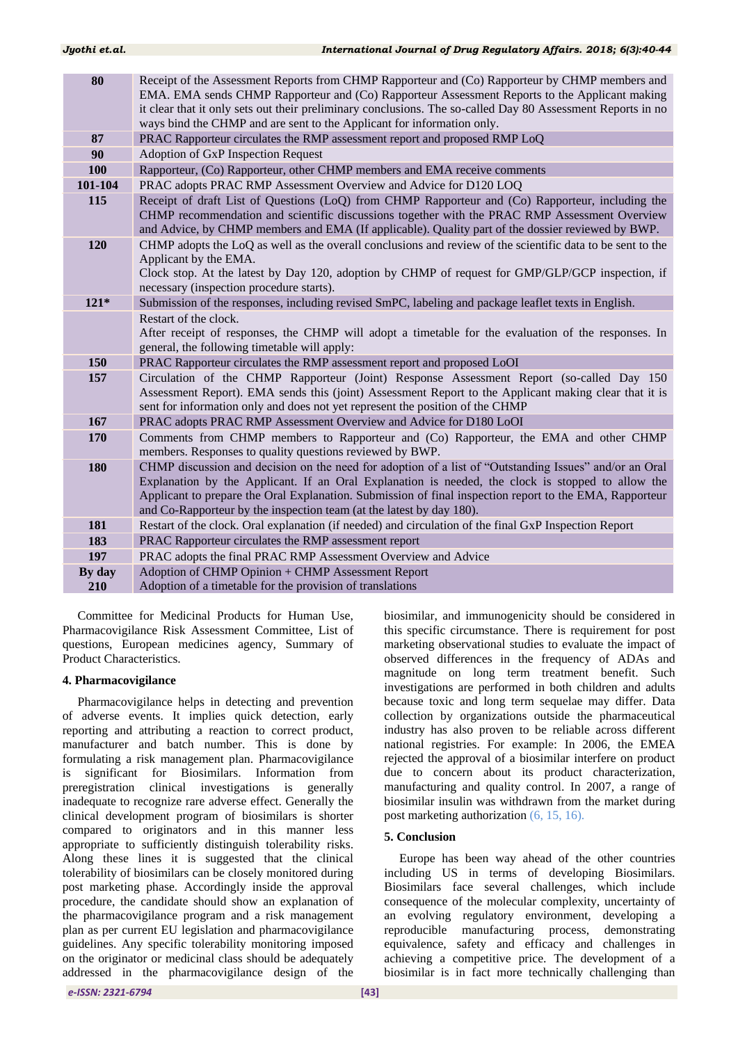| 80      | Receipt of the Assessment Reports from CHMP Rapporteur and (Co) Rapporteur by CHMP members and<br>EMA. EMA sends CHMP Rapporteur and (Co) Rapporteur Assessment Reports to the Applicant making<br>it clear that it only sets out their preliminary conclusions. The so-called Day 80 Assessment Reports in no<br>ways bind the CHMP and are sent to the Applicant for information only.       |
|---------|------------------------------------------------------------------------------------------------------------------------------------------------------------------------------------------------------------------------------------------------------------------------------------------------------------------------------------------------------------------------------------------------|
| 87      | PRAC Rapporteur circulates the RMP assessment report and proposed RMP LoQ                                                                                                                                                                                                                                                                                                                      |
| 90      | Adoption of GxP Inspection Request                                                                                                                                                                                                                                                                                                                                                             |
| 100     | Rapporteur, (Co) Rapporteur, other CHMP members and EMA receive comments                                                                                                                                                                                                                                                                                                                       |
| 101-104 | PRAC adopts PRAC RMP Assessment Overview and Advice for D120 LOQ                                                                                                                                                                                                                                                                                                                               |
| 115     | Receipt of draft List of Questions (LoQ) from CHMP Rapporteur and (Co) Rapporteur, including the<br>CHMP recommendation and scientific discussions together with the PRAC RMP Assessment Overview<br>and Advice, by CHMP members and EMA (If applicable). Quality part of the dossier reviewed by BWP.                                                                                         |
| 120     | CHMP adopts the LoQ as well as the overall conclusions and review of the scientific data to be sent to the<br>Applicant by the EMA.<br>Clock stop. At the latest by Day 120, adoption by CHMP of request for GMP/GLP/GCP inspection, if<br>necessary (inspection procedure starts).                                                                                                            |
| $121*$  | Submission of the responses, including revised SmPC, labeling and package leaflet texts in English.                                                                                                                                                                                                                                                                                            |
|         | Restart of the clock.<br>After receipt of responses, the CHMP will adopt a timetable for the evaluation of the responses. In<br>general, the following timetable will apply:                                                                                                                                                                                                                   |
| 150     | PRAC Rapporteur circulates the RMP assessment report and proposed LoOI                                                                                                                                                                                                                                                                                                                         |
| 157     | Circulation of the CHMP Rapporteur (Joint) Response Assessment Report (so-called Day 150<br>Assessment Report). EMA sends this (joint) Assessment Report to the Applicant making clear that it is<br>sent for information only and does not yet represent the position of the CHMP                                                                                                             |
| 167     | PRAC adopts PRAC RMP Assessment Overview and Advice for D180 LoOI                                                                                                                                                                                                                                                                                                                              |
| 170     | Comments from CHMP members to Rapporteur and (Co) Rapporteur, the EMA and other CHMP<br>members. Responses to quality questions reviewed by BWP.                                                                                                                                                                                                                                               |
| 180     | CHMP discussion and decision on the need for adoption of a list of "Outstanding Issues" and/or an Oral<br>Explanation by the Applicant. If an Oral Explanation is needed, the clock is stopped to allow the<br>Applicant to prepare the Oral Explanation. Submission of final inspection report to the EMA, Rapporteur<br>and Co-Rapporteur by the inspection team (at the latest by day 180). |
| 181     | Restart of the clock. Oral explanation (if needed) and circulation of the final GxP Inspection Report                                                                                                                                                                                                                                                                                          |
| 183     | PRAC Rapporteur circulates the RMP assessment report                                                                                                                                                                                                                                                                                                                                           |
| 197     | PRAC adopts the final PRAC RMP Assessment Overview and Advice                                                                                                                                                                                                                                                                                                                                  |
| By day  | Adoption of CHMP Opinion + CHMP Assessment Report                                                                                                                                                                                                                                                                                                                                              |
| 210     | Adoption of a timetable for the provision of translations                                                                                                                                                                                                                                                                                                                                      |

Committee for Medicinal Products for Human Use, Pharmacovigilance Risk Assessment Committee, List of questions, European medicines agency, Summary of Product Characteristics.

#### **4. Pharmacovigilance**

Pharmacovigilance helps in detecting and prevention of adverse events. It implies quick detection, early reporting and attributing a reaction to correct product, manufacturer and batch number. This is done by formulating a risk management plan. Pharmacovigilance is significant for Biosimilars. Information from preregistration clinical investigations is generally inadequate to recognize rare adverse effect. Generally the clinical development program of biosimilars is shorter compared to originators and in this manner less appropriate to sufficiently distinguish tolerability risks. Along these lines it is suggested that the clinical tolerability of biosimilars can be closely monitored during post marketing phase. Accordingly inside the approval procedure, the candidate should show an explanation of the pharmacovigilance program and a risk management plan as per current EU legislation and pharmacovigilance guidelines. Any specific tolerability monitoring imposed on the originator or medicinal class should be adequately addressed in the pharmacovigilance design of the

biosimilar, and immunogenicity should be considered in this specific circumstance. There is requirement for post marketing observational studies to evaluate the impact of observed differences in the frequency of ADAs and magnitude on long term treatment benefit. Such investigations are performed in both children and adults because toxic and long term sequelae may differ. Data collection by organizations outside the pharmaceutical industry has also proven to be reliable across different national registries. For example: In 2006, the EMEA rejected the approval of a biosimilar interfere on product due to concern about its product characterization, manufacturing and quality control. In 2007, a range of biosimilar insulin was withdrawn from the market during post marketing authorization [\(6,](#page-4-5) [15,](#page-4-14) [16\)](#page-4-15).

# **5. Conclusion**

Europe has been way ahead of the other countries including US in terms of developing Biosimilars. Biosimilars face several challenges, which include consequence of the molecular complexity, uncertainty of an evolving regulatory environment, developing a reproducible manufacturing process, demonstrating equivalence, safety and efficacy and challenges in achieving a competitive price. The development of a biosimilar is in fact more technically challenging than